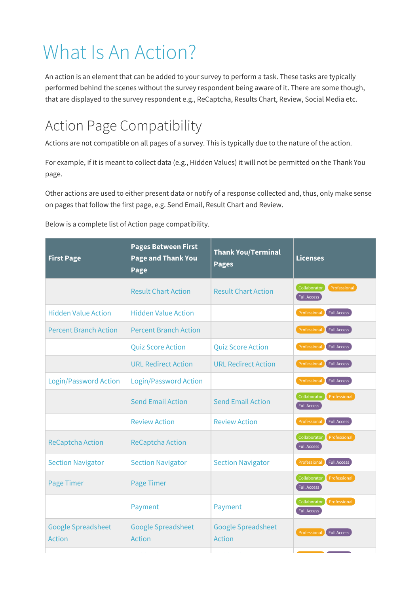## What Is An Action?

An action is an element that can be added to your survey to perform a task. These tasks are typically performed behind the scenes without the survey respondent being aware of it. There are some though, that are displayed to the survey respondent e.g., ReCaptcha, Results Chart, Review, Social Media etc.

## Action Page Compatibility

Actions are not compatible on all pages of a survey. This is typically due to the nature of the action.

For example, if it is meant to collect data (e.g., Hidden Values) it will not be permitted on the Thank You page.

Other actions are used to either present data or notify of a response collected and, thus, only make sense on pages that follow the first page, e.g. Send Email, Result Chart and Review.

Below is a complete list of Action page compatibility.

| <b>First Page</b>                          | <b>Pages Between First</b><br><b>Page and Thank You</b><br>Page | <b>Thank You/Terminal</b><br><b>Pages</b>  | <b>Licenses</b>                                    |
|--------------------------------------------|-----------------------------------------------------------------|--------------------------------------------|----------------------------------------------------|
|                                            | <b>Result Chart Action</b>                                      | <b>Result Chart Action</b>                 | Professional<br>Collaborator<br><b>Full Access</b> |
| <b>Hidden Value Action</b>                 | <b>Hidden Value Action</b>                                      |                                            | <b>Full Access</b><br>Professional                 |
| <b>Percent Branch Action</b>               | <b>Percent Branch Action</b>                                    |                                            | <b>Full Access</b><br>Professional                 |
|                                            | <b>Quiz Score Action</b>                                        | <b>Quiz Score Action</b>                   | Full Access<br>Professional                        |
|                                            | <b>URL Redirect Action</b>                                      | <b>URL Redirect Action</b>                 | Professional<br><b>Full Access</b>                 |
| <b>Login/Password Action</b>               | <b>Login/Password Action</b>                                    |                                            | <b>Full Access</b><br>Professional                 |
|                                            | <b>Send Email Action</b>                                        | <b>Send Email Action</b>                   | Professional<br>Collaborator<br><b>Full Access</b> |
|                                            | <b>Review Action</b>                                            | <b>Review Action</b>                       | Professional<br>Full Access                        |
| <b>ReCaptcha Action</b>                    | <b>ReCaptcha Action</b>                                         |                                            | Collaborator<br>Professional<br><b>Full Access</b> |
| <b>Section Navigator</b>                   | <b>Section Navigator</b>                                        | <b>Section Navigator</b>                   | Full Access<br>Professional                        |
| <b>Page Timer</b>                          | Page Timer                                                      |                                            | Collaborator<br>Professional<br><b>Full Access</b> |
|                                            | Payment                                                         | Payment                                    | Collaborator<br>Professional<br><b>Full Access</b> |
| <b>Google Spreadsheet</b><br><b>Action</b> | <b>Google Spreadsheet</b><br><b>Action</b>                      | <b>Google Spreadsheet</b><br><b>Action</b> | <b>Full Access</b><br>Professional                 |
|                                            |                                                                 |                                            |                                                    |